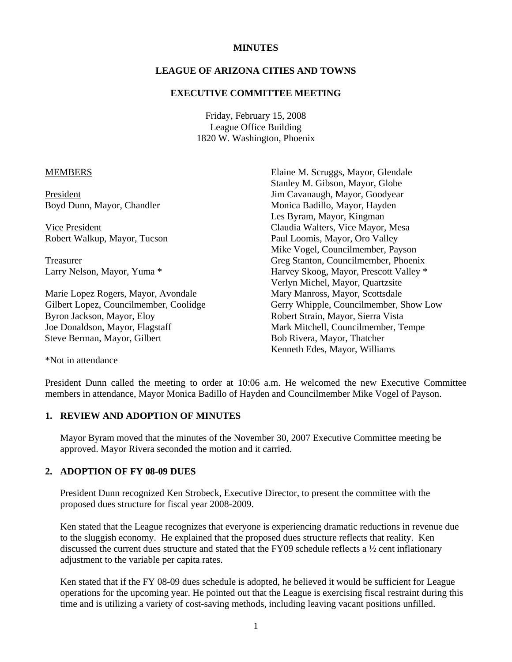#### **MINUTES**

## **LEAGUE OF ARIZONA CITIES AND TOWNS**

#### **EXECUTIVE COMMITTEE MEETING**

Friday, February 15, 2008 League Office Building 1820 W. Washington, Phoenix

#### MEMBERS

President Boyd Dunn, Mayor, Chandler

 Vice President Robert Walkup, Mayor, Tucson

 Treasurer Larry Nelson, Mayor, Yuma \*

Marie Lopez Rogers, Mayor, Avondale Gilbert Lopez, Councilmember, Coolidge Byron Jackson, Mayor, Eloy Joe Donaldson, Mayor, Flagstaff Steve Berman, Mayor, Gilbert

Elaine M. Scruggs, Mayor, Glendale Stanley M. Gibson, Mayor, Globe Jim Cavanaugh, Mayor, Goodyear Monica Badillo, Mayor, Hayden Les Byram, Mayor, Kingman Claudia Walters, Vice Mayor, Mesa Paul Loomis, Mayor, Oro Valley Mike Vogel, Councilmember, Payson Greg Stanton, Councilmember, Phoenix Harvey Skoog, Mayor, Prescott Valley \* Verlyn Michel, Mayor, Quartzsite Mary Manross, Mayor, Scottsdale Gerry Whipple, Councilmember, Show Low Robert Strain, Mayor, Sierra Vista Mark Mitchell, Councilmember, Tempe Bob Rivera, Mayor, Thatcher Kenneth Edes, Mayor, Williams

\*Not in attendance

President Dunn called the meeting to order at 10:06 a.m. He welcomed the new Executive Committee members in attendance, Mayor Monica Badillo of Hayden and Councilmember Mike Vogel of Payson.

#### **1. REVIEW AND ADOPTION OF MINUTES**

Mayor Byram moved that the minutes of the November 30, 2007 Executive Committee meeting be approved. Mayor Rivera seconded the motion and it carried.

## **2. ADOPTION OF FY 08-09 DUES**

President Dunn recognized Ken Strobeck, Executive Director, to present the committee with the proposed dues structure for fiscal year 2008-2009.

Ken stated that the League recognizes that everyone is experiencing dramatic reductions in revenue due to the sluggish economy. He explained that the proposed dues structure reflects that reality. Ken discussed the current dues structure and stated that the FY09 schedule reflects a ½ cent inflationary adjustment to the variable per capita rates.

Ken stated that if the FY 08-09 dues schedule is adopted, he believed it would be sufficient for League operations for the upcoming year. He pointed out that the League is exercising fiscal restraint during this time and is utilizing a variety of cost-saving methods, including leaving vacant positions unfilled.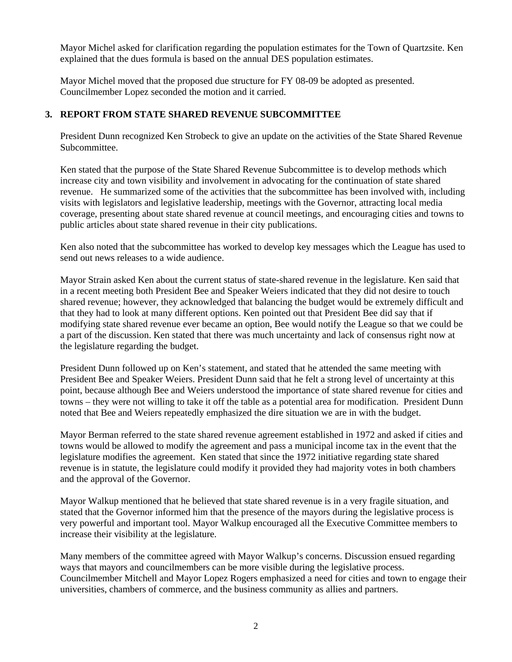Mayor Michel asked for clarification regarding the population estimates for the Town of Quartzsite. Ken explained that the dues formula is based on the annual DES population estimates.

Mayor Michel moved that the proposed due structure for FY 08-09 be adopted as presented. Councilmember Lopez seconded the motion and it carried.

# **3. REPORT FROM STATE SHARED REVENUE SUBCOMMITTEE**

President Dunn recognized Ken Strobeck to give an update on the activities of the State Shared Revenue Subcommittee.

Ken stated that the purpose of the State Shared Revenue Subcommittee is to develop methods which increase city and town visibility and involvement in advocating for the continuation of state shared revenue. He summarized some of the activities that the subcommittee has been involved with, including visits with legislators and legislative leadership, meetings with the Governor, attracting local media coverage, presenting about state shared revenue at council meetings, and encouraging cities and towns to public articles about state shared revenue in their city publications.

Ken also noted that the subcommittee has worked to develop key messages which the League has used to send out news releases to a wide audience.

Mayor Strain asked Ken about the current status of state-shared revenue in the legislature. Ken said that in a recent meeting both President Bee and Speaker Weiers indicated that they did not desire to touch shared revenue; however, they acknowledged that balancing the budget would be extremely difficult and that they had to look at many different options. Ken pointed out that President Bee did say that if modifying state shared revenue ever became an option, Bee would notify the League so that we could be a part of the discussion. Ken stated that there was much uncertainty and lack of consensus right now at the legislature regarding the budget.

President Dunn followed up on Ken's statement, and stated that he attended the same meeting with President Bee and Speaker Weiers. President Dunn said that he felt a strong level of uncertainty at this point, because although Bee and Weiers understood the importance of state shared revenue for cities and towns – they were not willing to take it off the table as a potential area for modification. President Dunn noted that Bee and Weiers repeatedly emphasized the dire situation we are in with the budget.

Mayor Berman referred to the state shared revenue agreement established in 1972 and asked if cities and towns would be allowed to modify the agreement and pass a municipal income tax in the event that the legislature modifies the agreement. Ken stated that since the 1972 initiative regarding state shared revenue is in statute, the legislature could modify it provided they had majority votes in both chambers and the approval of the Governor.

Mayor Walkup mentioned that he believed that state shared revenue is in a very fragile situation, and stated that the Governor informed him that the presence of the mayors during the legislative process is very powerful and important tool. Mayor Walkup encouraged all the Executive Committee members to increase their visibility at the legislature.

Many members of the committee agreed with Mayor Walkup's concerns. Discussion ensued regarding ways that mayors and councilmembers can be more visible during the legislative process. Councilmember Mitchell and Mayor Lopez Rogers emphasized a need for cities and town to engage their universities, chambers of commerce, and the business community as allies and partners.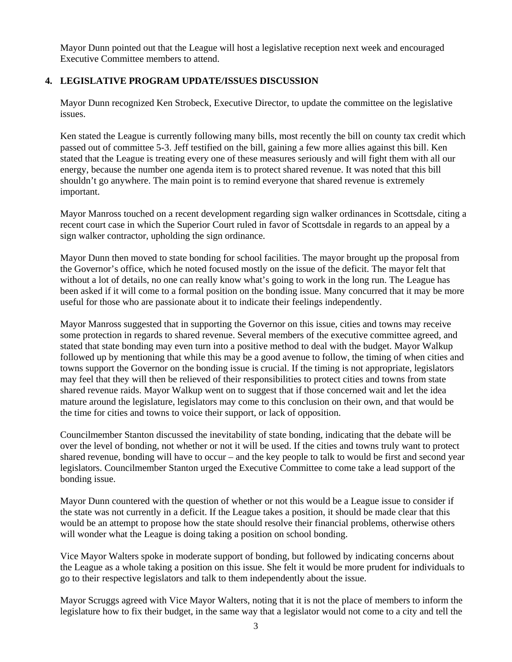Mayor Dunn pointed out that the League will host a legislative reception next week and encouraged Executive Committee members to attend.

# **4. LEGISLATIVE PROGRAM UPDATE/ISSUES DISCUSSION**

Mayor Dunn recognized Ken Strobeck, Executive Director, to update the committee on the legislative issues.

Ken stated the League is currently following many bills, most recently the bill on county tax credit which passed out of committee 5-3. Jeff testified on the bill, gaining a few more allies against this bill. Ken stated that the League is treating every one of these measures seriously and will fight them with all our energy, because the number one agenda item is to protect shared revenue. It was noted that this bill shouldn't go anywhere. The main point is to remind everyone that shared revenue is extremely important.

Mayor Manross touched on a recent development regarding sign walker ordinances in Scottsdale, citing a recent court case in which the Superior Court ruled in favor of Scottsdale in regards to an appeal by a sign walker contractor, upholding the sign ordinance.

Mayor Dunn then moved to state bonding for school facilities. The mayor brought up the proposal from the Governor's office, which he noted focused mostly on the issue of the deficit. The mayor felt that without a lot of details, no one can really know what's going to work in the long run. The League has been asked if it will come to a formal position on the bonding issue. Many concurred that it may be more useful for those who are passionate about it to indicate their feelings independently.

Mayor Manross suggested that in supporting the Governor on this issue, cities and towns may receive some protection in regards to shared revenue. Several members of the executive committee agreed, and stated that state bonding may even turn into a positive method to deal with the budget. Mayor Walkup followed up by mentioning that while this may be a good avenue to follow, the timing of when cities and towns support the Governor on the bonding issue is crucial. If the timing is not appropriate, legislators may feel that they will then be relieved of their responsibilities to protect cities and towns from state shared revenue raids. Mayor Walkup went on to suggest that if those concerned wait and let the idea mature around the legislature, legislators may come to this conclusion on their own, and that would be the time for cities and towns to voice their support, or lack of opposition.

Councilmember Stanton discussed the inevitability of state bonding, indicating that the debate will be over the level of bonding, not whether or not it will be used. If the cities and towns truly want to protect shared revenue, bonding will have to occur – and the key people to talk to would be first and second year legislators. Councilmember Stanton urged the Executive Committee to come take a lead support of the bonding issue.

Mayor Dunn countered with the question of whether or not this would be a League issue to consider if the state was not currently in a deficit. If the League takes a position, it should be made clear that this would be an attempt to propose how the state should resolve their financial problems, otherwise others will wonder what the League is doing taking a position on school bonding.

Vice Mayor Walters spoke in moderate support of bonding, but followed by indicating concerns about the League as a whole taking a position on this issue. She felt it would be more prudent for individuals to go to their respective legislators and talk to them independently about the issue.

Mayor Scruggs agreed with Vice Mayor Walters, noting that it is not the place of members to inform the legislature how to fix their budget, in the same way that a legislator would not come to a city and tell the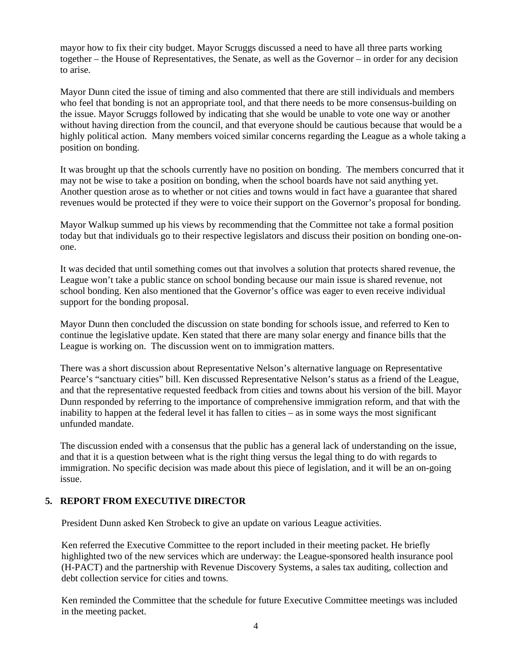mayor how to fix their city budget. Mayor Scruggs discussed a need to have all three parts working together – the House of Representatives, the Senate, as well as the Governor – in order for any decision to arise.

Mayor Dunn cited the issue of timing and also commented that there are still individuals and members who feel that bonding is not an appropriate tool, and that there needs to be more consensus-building on the issue. Mayor Scruggs followed by indicating that she would be unable to vote one way or another without having direction from the council, and that everyone should be cautious because that would be a highly political action. Many members voiced similar concerns regarding the League as a whole taking a position on bonding.

It was brought up that the schools currently have no position on bonding. The members concurred that it may not be wise to take a position on bonding, when the school boards have not said anything yet. Another question arose as to whether or not cities and towns would in fact have a guarantee that shared revenues would be protected if they were to voice their support on the Governor's proposal for bonding.

Mayor Walkup summed up his views by recommending that the Committee not take a formal position today but that individuals go to their respective legislators and discuss their position on bonding one-onone.

It was decided that until something comes out that involves a solution that protects shared revenue, the League won't take a public stance on school bonding because our main issue is shared revenue, not school bonding. Ken also mentioned that the Governor's office was eager to even receive individual support for the bonding proposal.

Mayor Dunn then concluded the discussion on state bonding for schools issue, and referred to Ken to continue the legislative update. Ken stated that there are many solar energy and finance bills that the League is working on. The discussion went on to immigration matters.

There was a short discussion about Representative Nelson's alternative language on Representative Pearce's "sanctuary cities" bill. Ken discussed Representative Nelson's status as a friend of the League, and that the representative requested feedback from cities and towns about his version of the bill. Mayor Dunn responded by referring to the importance of comprehensive immigration reform, and that with the inability to happen at the federal level it has fallen to cities – as in some ways the most significant unfunded mandate.

The discussion ended with a consensus that the public has a general lack of understanding on the issue, and that it is a question between what is the right thing versus the legal thing to do with regards to immigration. No specific decision was made about this piece of legislation, and it will be an on-going issue.

# **5. REPORT FROM EXECUTIVE DIRECTOR**

President Dunn asked Ken Strobeck to give an update on various League activities.

Ken referred the Executive Committee to the report included in their meeting packet. He briefly highlighted two of the new services which are underway: the League-sponsored health insurance pool (H-PACT) and the partnership with Revenue Discovery Systems, a sales tax auditing, collection and debt collection service for cities and towns.

Ken reminded the Committee that the schedule for future Executive Committee meetings was included in the meeting packet.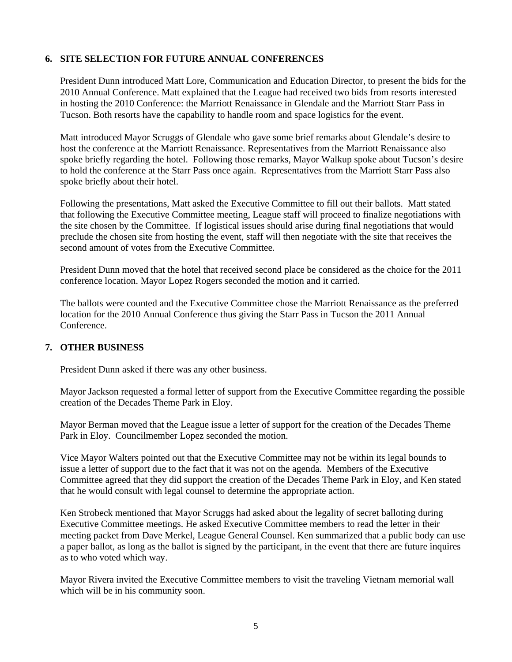# **6. SITE SELECTION FOR FUTURE ANNUAL CONFERENCES**

President Dunn introduced Matt Lore, Communication and Education Director, to present the bids for the 2010 Annual Conference. Matt explained that the League had received two bids from resorts interested in hosting the 2010 Conference: the Marriott Renaissance in Glendale and the Marriott Starr Pass in Tucson. Both resorts have the capability to handle room and space logistics for the event.

Matt introduced Mayor Scruggs of Glendale who gave some brief remarks about Glendale's desire to host the conference at the Marriott Renaissance. Representatives from the Marriott Renaissance also spoke briefly regarding the hotel. Following those remarks, Mayor Walkup spoke about Tucson's desire to hold the conference at the Starr Pass once again. Representatives from the Marriott Starr Pass also spoke briefly about their hotel.

Following the presentations, Matt asked the Executive Committee to fill out their ballots. Matt stated that following the Executive Committee meeting, League staff will proceed to finalize negotiations with the site chosen by the Committee. If logistical issues should arise during final negotiations that would preclude the chosen site from hosting the event, staff will then negotiate with the site that receives the second amount of votes from the Executive Committee.

President Dunn moved that the hotel that received second place be considered as the choice for the 2011 conference location. Mayor Lopez Rogers seconded the motion and it carried.

The ballots were counted and the Executive Committee chose the Marriott Renaissance as the preferred location for the 2010 Annual Conference thus giving the Starr Pass in Tucson the 2011 Annual Conference.

## **7. OTHER BUSINESS**

President Dunn asked if there was any other business.

 Mayor Jackson requested a formal letter of support from the Executive Committee regarding the possible creation of the Decades Theme Park in Eloy.

 Mayor Berman moved that the League issue a letter of support for the creation of the Decades Theme Park in Eloy. Councilmember Lopez seconded the motion.

 Vice Mayor Walters pointed out that the Executive Committee may not be within its legal bounds to issue a letter of support due to the fact that it was not on the agenda. Members of the Executive Committee agreed that they did support the creation of the Decades Theme Park in Eloy, and Ken stated that he would consult with legal counsel to determine the appropriate action.

 Ken Strobeck mentioned that Mayor Scruggs had asked about the legality of secret balloting during Executive Committee meetings. He asked Executive Committee members to read the letter in their meeting packet from Dave Merkel, League General Counsel. Ken summarized that a public body can use a paper ballot, as long as the ballot is signed by the participant, in the event that there are future inquires as to who voted which way.

 Mayor Rivera invited the Executive Committee members to visit the traveling Vietnam memorial wall which will be in his community soon.